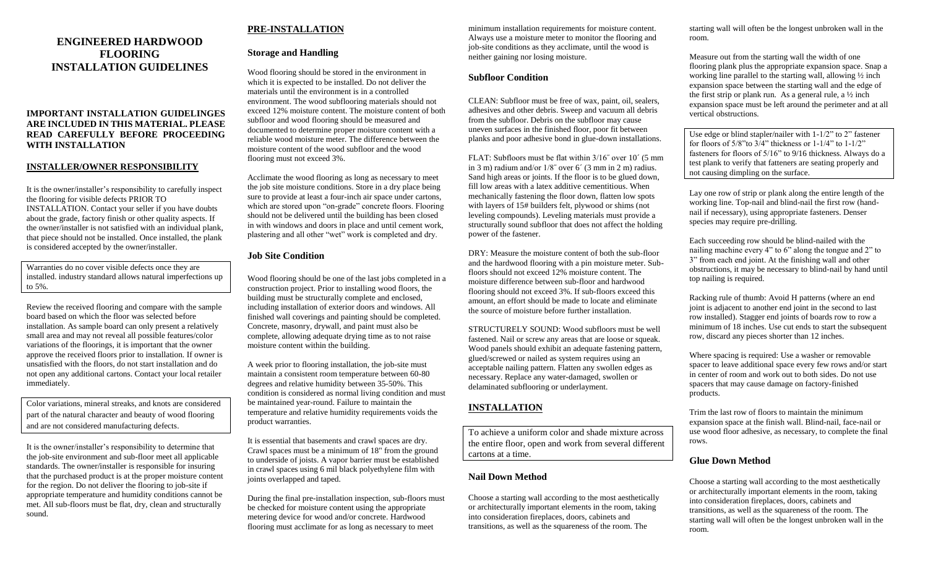## **ENGINEERED HARDWOOD FLOORING INSTALLATION GUIDELINES**

#### **IMPORTANT INSTALLATION GUIDELINGES ARE INCLUDED IN THIS MATERIAL. PLEASE READ CAREFULLY BEFORE PROCEEDING WITH INSTALLATION**

#### **INSTALLER/OWNER RESPONSIBILITY**

It is the owner/installer's responsibility to carefully inspect the flooring for visible defects PRIOR TO INSTALLATION. Contact your seller if you have doubts about the grade, factory finish or other quality aspects. If the owner/installer is not satisfied with an individual plank, that piece should not be installed. Once installed, the plank is considered accepted by the owner/installer.

Warranties do no cover visible defects once they are installed. industry standard allows natural imperfections up to 5%.

Review the received flooring and compare with the sample board based on which the floor was selected before installation. As sample board can only present a relatively small area and may not reveal all possible features/color variations of the floorings, it is important that the owner approve the received floors prior to installation. If owner is unsatisfied with the floors, do not start installation and do not open any additional cartons. Contact your local retailer immediately.

Color variations, mineral streaks, and knots are considered part of the natural character and beauty of wood flooring and are not considered manufacturing defects.

It is the owner/installer's responsibility to determine that the job-site environment and sub-floor meet all applicable standards. The owner/installer is responsible for insuring that the purchased product is at the proper moisture content for the region. Do not deliver the flooring to job-site if appropriate temperature and humidity conditions cannot be met. All sub-floors must be flat, dry, clean and structurally sound.

## **PRE-INSTALLATION**

### **Storage and Handling**

Wood flooring should be stored in the environment in which it is expected to be installed. Do not deliver the materials until the environment is in a controlled environment. The wood subflooring materials should not exceed 12% moisture content. The moisture content of both subfloor and wood flooring should be measured and documented to determine proper moisture content with a reliable wood moisture meter. The difference between the moisture content of the wood subfloor and the wood flooring must not exceed 3%.

Acclimate the wood flooring as long as necessary to meet the job site moisture conditions. Store in a dry place being sure to provide at least a four-inch air space under cartons, which are stored upon "on-grade" concrete floors. Flooring should not be delivered until the building has been closed in with windows and doors in place and until cement work, plastering and all other "wet" work is completed and dry.

### **Job Site Condition**

Wood flooring should be one of the last jobs completed in a construction project. Prior to installing wood floors, the building must be structurally complete and enclosed, including installation of exterior doors and windows. All finished wall coverings and painting should be completed. Concrete, masonry, drywall, and paint must also be complete, allowing adequate drying time as to not raise moisture content within the building.

A week prior to flooring installation, the job-site must maintain a consistent room temperature between 60-80 degrees and relative humidity between 35-50%. This condition is considered as normal living condition and must be maintained year-round. Failure to maintain the temperature and relative humidity requirements voids the product warranties.

It is essential that basements and crawl spaces are dry. Crawl spaces must be a minimum of 18" from the ground to underside of joists. A vapor barrier must be established in crawl spaces using 6 mil black polyethylene film with joints overlapped and taped.

During the final pre-installation inspection, sub-floors must be checked for moisture content using the appropriate metering device for wood and/or concrete. Hardwood flooring must acclimate for as long as necessary to meet

minimum installation requirements for moisture content. Always use a moisture meter to monitor the flooring and job-site conditions as they acclimate, until the wood is neither gaining nor losing moisture.

#### **Subfloor Condition**

CLEAN: Subfloor must be free of wax, paint, oil, sealers, adhesives and other debris. Sweep and vacuum all debris from the subfloor. Debris on the subfloor may cause uneven surfaces in the finished floor, poor fit between planks and poor adhesive bond in glue-down installations.

FLAT: Subfloors must be flat within 3/16˝ over 10´ (5 mm in 3 m) radium and/or 1/8˝ over 6´ (3 mm in 2 m) radius. Sand high areas or joints. If the floor is to be glued down, fill low areas with a latex additive cementitious. When mechanically fastening the floor down, flatten low spots with layers of 15# builders felt, plywood or shims (not leveling compounds). Leveling materials must provide a structurally sound subfloor that does not affect the holding power of the fastener.

DRY: Measure the moisture content of both the sub-floor and the hardwood flooring with a pin moisture meter. Subfloors should not exceed 12% moisture content. The moisture difference between sub-floor and hardwood flooring should not exceed 3%. If sub-floors exceed this amount, an effort should be made to locate and eliminate the source of moisture before further installation.

STRUCTURELY SOUND: Wood subfloors must be well fastened. Nail or screw any areas that are loose or squeak. Wood panels should exhibit an adequate fastening pattern, glued/screwed or nailed as system requires using an acceptable nailing pattern. Flatten any swollen edges as necessary. Replace any water-damaged, swollen or delaminated subflooring or underlayment.

# **INSTALLATION**

To achieve a uniform color and shade mixture across the entire floor, open and work from several different cartons at a time.

## **Nail Down Method**

Choose a starting wall according to the most aesthetically or architecturally important elements in the room, taking into consideration fireplaces, doors, cabinets and transitions, as well as the squareness of the room. The

starting wall will often be the longest unbroken wall in the room.

Measure out from the starting wall the width of one flooring plank plus the appropriate expansion space. Snap a working line parallel to the starting wall, allowing ½ inch expansion space between the starting wall and the edge of the first strip or plank run. As a general rule, a  $\frac{1}{2}$  inch expansion space must be left around the perimeter and at all vertical obstructions.

Use edge or blind stapler/nailer with 1-1/2" to 2" fastener for floors of  $5/8$ "to  $3/4$ " thickness or  $1-1/4$ " to  $1-1/2$ " fasteners for floors of 5/16" to 9/16 thickness. Always do a test plank to verify that fatteners are seating properly and not causing dimpling on the surface.

Lay one row of strip or plank along the entire length of the working line. Top-nail and blind-nail the first row (handnail if necessary), using appropriate fasteners. Denser species may require pre-drilling.

Each succeeding row should be blind-nailed with the nailing machine every 4" to 6" along the tongue and 2" to 3" from each end joint. At the finishing wall and other obstructions, it may be necessary to blind-nail by hand until top nailing is required.

Racking rule of thumb: Avoid H patterns (where an end joint is adjacent to another end joint in the second to last row installed). Stagger end joints of boards row to row a minimum of 18 inches. Use cut ends to start the subsequent row, discard any pieces shorter than 12 inches.

Where spacing is required: Use a washer or removable spacer to leave additional space every few rows and/or start in center of room and work out to both sides. Do not use spacers that may cause damage on factory-finished products.

Trim the last row of floors to maintain the minimum expansion space at the finish wall. Blind-nail, face-nail or use wood floor adhesive, as necessary, to complete the final rows.

### **Glue Down Method**

Choose a starting wall according to the most aesthetically or architecturally important elements in the room, taking into consideration fireplaces, doors, cabinets and transitions, as well as the squareness of the room. The starting wall will often be the longest unbroken wall in the room.